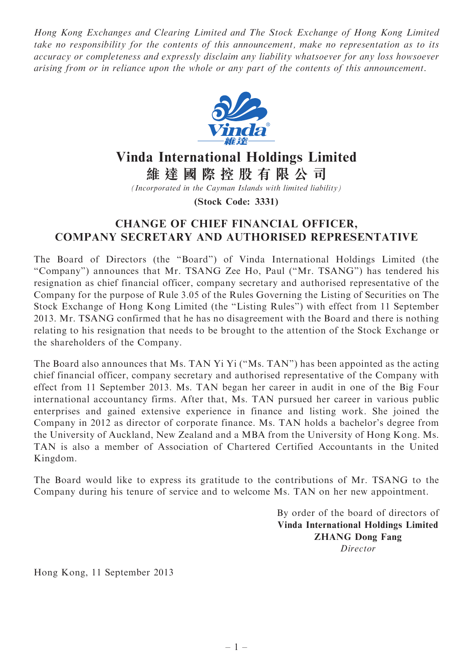Hong Kong Exchanges and Clearing Limited and The Stock Exchange of Hong Kong Limited take no responsibility for the contents of this announcement, make no representation as to its accuracy or completeness and expressly disclaim any liability whatsoever for any loss howsoever arising from or in reliance upon the whole or any part of the contents of this announcement.



## Vinda International Holdings Limited

維 達 國 際 控 股 有 限 公 司

(Incorporated in the Cayman Islands with limited liability)

(Stock Code: 3331)

## CHANGE OF CHIEF FINANCIAL OFFICER, COMPANY SECRETARY AND AUTHORISED REPRESENTATIVE

The Board of Directors (the ''Board'') of Vinda International Holdings Limited (the ''Company'') announces that Mr. TSANG Zee Ho, Paul (''Mr. TSANG'') has tendered his resignation as chief financial officer, company secretary and authorised representative of the Company for the purpose of Rule 3.05 of the Rules Governing the Listing of Securities on The Stock Exchange of Hong Kong Limited (the ''Listing Rules'') with effect from 11 September 2013. Mr. TSANG confirmed that he has no disagreement with the Board and there is nothing relating to his resignation that needs to be brought to the attention of the Stock Exchange or the shareholders of the Company.

The Board also announces that Ms. TAN Yi Yi (''Ms. TAN'') has been appointed as the acting chief financial officer, company secretary and authorised representative of the Company with effect from 11 September 2013. Ms. TAN began her career in audit in one of the Big Four international accountancy firms. After that, Ms. TAN pursued her career in various public enterprises and gained extensive experience in finance and listing work. She joined the Company in 2012 as director of corporate finance. Ms. TAN holds a bachelor's degree from the University of Auckland, New Zealand and a MBA from the University of Hong Kong. Ms. TAN is also a member of Association of Chartered Certified Accountants in the United Kingdom.

The Board would like to express its gratitude to the contributions of Mr. TSANG to the Company during his tenure of service and to welcome Ms. TAN on her new appointment.

> By order of the board of directors of Vinda International Holdings Limited ZHANG Dong Fang Director

Hong Kong, 11 September 2013